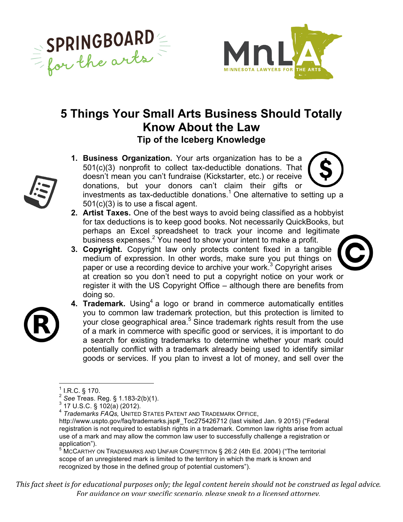



## **5 Things Your Small Arts Business Should Totally Know About the Law Tip of the Iceberg Knowledge**

- **1. Business Organization.** Your arts organization has to be a 501(c)(3) nonprofit to collect tax-deductible donations. That doesn't mean you can't fundraise (Kickstarter, etc.) or receive donations, but your donors can't claim their gifts or investments as tax-deductible donations.<sup>1</sup> One alternative to setting up a 501(c)(3) is to use a fiscal agent.
- **2. Artist Taxes.** One of the best ways to avoid being classified as a hobbyist for tax deductions is to keep good books. Not necessarily QuickBooks, but perhaps an Excel spreadsheet to track your income and legitimate business expenses.<sup>2</sup> You need to show your intent to make a profit.
- **3. Copyright.** Copyright law only protects content fixed in a tangible medium of expression. In other words, make sure you put things on paper or use a recording device to archive your work.<sup>3</sup> Copyright arises at creation so you don't need to put a copyright notice on your work or register it with the US Copyright Office – although there are benefits from doing so.
- **4. Trademark.** Using<sup>4</sup> a logo or brand in commerce automatically entitles you to common law trademark protection, but this protection is limited to your close geographical area.<sup>5</sup> Since trademark rights result from the use of a mark in commerce with specific good or services, it is important to do a search for existing trademarks to determine whether your mark could potentially conflict with a trademark already being used to identify similar goods or services. If you plan to invest a lot of money, and sell over the

<sup>5</sup> MCCARTHY ON TRADEMARKS AND UNFAIR COMPETITION § 26:2 (4th Ed. 2004) ("The territorial scope of an unregistered mark is limited to the territory in which the mark is known and recognized by those in the defined group of potential customers").

*This* fact sheet is for educational purposes only; the legal content herein should not be construed as legal advice. For auidance on your specific scenario, please speak to a licensed attorney.



 $^{1}$  I.R.C. § 170.<br> $^{2}$  See Treas. Reg. § 1.183-2(b)(1).

<sup>&</sup>lt;sup>3</sup> Sec. 5 1.183-2<br><sup>3</sup> 17 U.S.C. § 102(a) (2012). 3 17 17 17 1830-2012<br>*4 Trademarks FAQs, UNITED STATES PATENT AND TRADEMARK OFFICE,* 

http://www.uspto.gov/faq/trademarks.jsp#\_Toc275426712 (last visited Jan. 9 2015) ("Federal registration is not required to establish rights in a trademark. Common law rights arise from actual use of a mark and may allow the common law user to successfully challenge a registration or application").